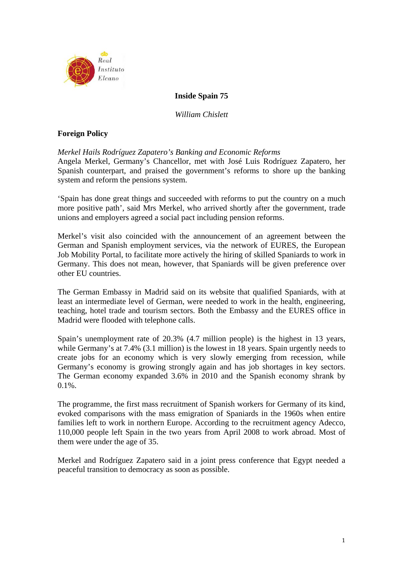

# **Inside Spain 75**

*William Chislett* 

# **Foreign Policy**

## *Merkel Hails Rodríguez Zapatero's Banking and Economic Reforms*

Angela Merkel, Germany's Chancellor, met with José Luis Rodríguez Zapatero, her Spanish counterpart, and praised the government's reforms to shore up the banking system and reform the pensions system.

'Spain has done great things and succeeded with reforms to put the country on a much more positive path', said Mrs Merkel, who arrived shortly after the government, trade unions and employers agreed a social pact including pension reforms.

Merkel's visit also coincided with the announcement of an agreement between the German and Spanish employment services, via the network of EURES, the European Job Mobility Portal, to facilitate more actively the hiring of skilled Spaniards to work in Germany. This does not mean, however, that Spaniards will be given preference over other EU countries.

The German Embassy in Madrid said on its website that qualified Spaniards, with at least an intermediate level of German, were needed to work in the health, engineering, teaching, hotel trade and tourism sectors. Both the Embassy and the EURES office in Madrid were flooded with telephone calls.

Spain's unemployment rate of 20.3% (4.7 million people) is the highest in 13 years, while Germany's at 7.4% (3.1 million) is the lowest in 18 years. Spain urgently needs to create jobs for an economy which is very slowly emerging from recession, while Germany's economy is growing strongly again and has job shortages in key sectors. The German economy expanded 3.6% in 2010 and the Spanish economy shrank by  $0.1\%$ .

The programme, the first mass recruitment of Spanish workers for Germany of its kind, evoked comparisons with the mass emigration of Spaniards in the 1960s when entire families left to work in northern Europe. According to the recruitment agency Adecco, 110,000 people left Spain in the two years from April 2008 to work abroad. Most of them were under the age of 35.

Merkel and Rodríguez Zapatero said in a joint press conference that Egypt needed a peaceful transition to democracy as soon as possible.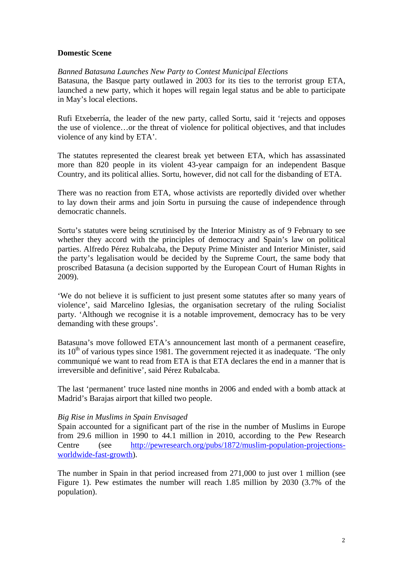### **Domestic Scene**

## *Banned Batasuna Launches New Party to Contest Municipal Elections*

Batasuna, the Basque party outlawed in 2003 for its ties to the terrorist group ETA, launched a new party, which it hopes will regain legal status and be able to participate in May's local elections.

Rufi Etxeberría, the leader of the new party, called Sortu, said it 'rejects and opposes the use of violence…or the threat of violence for political objectives, and that includes violence of any kind by ETA'.

The statutes represented the clearest break yet between ETA, which has assassinated more than 820 people in its violent 43-year campaign for an independent Basque Country, and its political allies. Sortu, however, did not call for the disbanding of ETA.

There was no reaction from ETA, whose activists are reportedly divided over whether to lay down their arms and join Sortu in pursuing the cause of independence through democratic channels.

Sortu's statutes were being scrutinised by the Interior Ministry as of 9 February to see whether they accord with the principles of democracy and Spain's law on political parties. Alfredo Pérez Rubalcaba, the Deputy Prime Minister and Interior Minister, said the party's legalisation would be decided by the Supreme Court, the same body that proscribed Batasuna (a decision supported by the European Court of Human Rights in 2009).

'We do not believe it is sufficient to just present some statutes after so many years of violence', said Marcelino Iglesias, the organisation secretary of the ruling Socialist party. 'Although we recognise it is a notable improvement, democracy has to be very demanding with these groups'.

Batasuna's move followed ETA's announcement last month of a permanent ceasefire, its  $10<sup>th</sup>$  of various types since 1981. The government rejected it as inadequate. 'The only communiqué we want to read from ETA is that ETA declares the end in a manner that is irreversible and definitive', said Pérez Rubalcaba.

The last 'permanent' truce lasted nine months in 2006 and ended with a bomb attack at Madrid's Barajas airport that killed two people.

### *Big Rise in Muslims in Spain Envisaged*

Spain accounted for a significant part of the rise in the number of Muslims in Europe from 29.6 million in 1990 to 44.1 million in 2010, according to the Pew Research Centre (see http://pewresearch.org/pubs/1872/muslim-population-projectionsworldwide-fast-growth).

The number in Spain in that period increased from 271,000 to just over 1 million (see Figure 1). Pew estimates the number will reach 1.85 million by 2030 (3.7% of the population).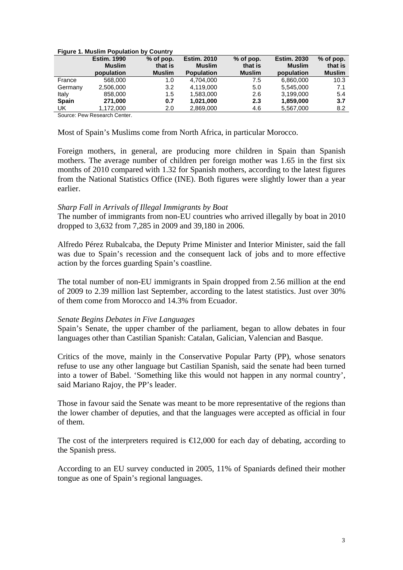|              | <b>Estim. 1990</b> | $%$ of pop.   | <b>Estim. 2010</b> | $%$ of pop.   | <b>Estim. 2030</b> | $%$ of pop.   |
|--------------|--------------------|---------------|--------------------|---------------|--------------------|---------------|
|              | <b>Muslim</b>      | that is       | <b>Muslim</b>      | that is       | <b>Muslim</b>      | that is       |
|              | population         | <b>Muslim</b> | <b>Population</b>  | <b>Muslim</b> | population         | <b>Muslim</b> |
| France       | 568,000            | 1.0           | 4.704.000          | 7.5           | 6,860,000          | 10.3          |
| Germany      | 2,506,000          | 3.2           | 4.119.000          | 5.0           | 5.545.000          | 7.1           |
| Italy        | 858,000            | 1.5           | 1,583,000          | 2.6           | 3,199,000          | 5.4           |
| <b>Spain</b> | 271,000            | 0.7           | 1,021,000          | 2.3           | 1,859,000          | 3.7           |
| UK           | 1,172,000          | 2.0           | 2,869,000          | 4.6           | 5,567,000          | 8.2           |

#### **Figure 1. Muslim Population by Country**

Source: Pew Research Center.

Most of Spain's Muslims come from North Africa, in particular Morocco.

Foreign mothers, in general, are producing more children in Spain than Spanish mothers. The average number of children per foreign mother was 1.65 in the first six months of 2010 compared with 1.32 for Spanish mothers, according to the latest figures from the National Statistics Office (INE). Both figures were slightly lower than a year earlier.

### *Sharp Fall in Arrivals of Illegal Immigrants by Boat*

The number of immigrants from non-EU countries who arrived illegally by boat in 2010 dropped to 3,632 from 7,285 in 2009 and 39,180 in 2006.

Alfredo Pérez Rubalcaba, the Deputy Prime Minister and Interior Minister, said the fall was due to Spain's recession and the consequent lack of jobs and to more effective action by the forces guarding Spain's coastline.

The total number of non-EU immigrants in Spain dropped from 2.56 million at the end of 2009 to 2.39 million last September, according to the latest statistics. Just over 30% of them come from Morocco and 14.3% from Ecuador.

### *Senate Begins Debates in Five Languages*

Spain's Senate, the upper chamber of the parliament, began to allow debates in four languages other than Castilian Spanish: Catalan, Galician, Valencian and Basque.

Critics of the move, mainly in the Conservative Popular Party (PP), whose senators refuse to use any other language but Castilian Spanish, said the senate had been turned into a tower of Babel. 'Something like this would not happen in any normal country', said Mariano Rajoy, the PP's leader.

Those in favour said the Senate was meant to be more representative of the regions than the lower chamber of deputies, and that the languages were accepted as official in four of them.

The cost of the interpreters required is  $\in$ 12,000 for each day of debating, according to the Spanish press.

According to an EU survey conducted in 2005, 11% of Spaniards defined their mother tongue as one of Spain's regional languages.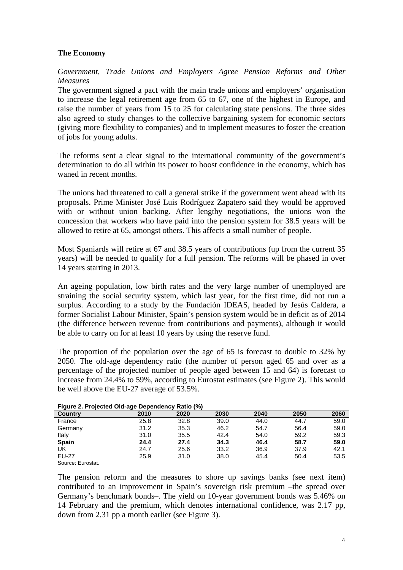# **The Economy**

*Government, Trade Unions and Employers Agree Pension Reforms and Other Measures*

The government signed a pact with the main trade unions and employers' organisation to increase the legal retirement age from 65 to 67, one of the highest in Europe, and raise the number of years from 15 to 25 for calculating state pensions. The three sides also agreed to study changes to the collective bargaining system for economic sectors (giving more flexibility to companies) and to implement measures to foster the creation of jobs for young adults.

The reforms sent a clear signal to the international community of the government's determination to do all within its power to boost confidence in the economy, which has waned in recent months.

The unions had threatened to call a general strike if the government went ahead with its proposals. Prime Minister José Luis Rodríguez Zapatero said they would be approved with or without union backing. After lengthy negotiations, the unions won the concession that workers who have paid into the pension system for 38.5 years will be allowed to retire at 65, amongst others. This affects a small number of people.

Most Spaniards will retire at 67 and 38.5 years of contributions (up from the current 35 years) will be needed to qualify for a full pension. The reforms will be phased in over 14 years starting in 2013.

An ageing population, low birth rates and the very large number of unemployed are straining the social security system, which last year, for the first time, did not run a surplus. According to a study by the Fundación IDEAS, headed by Jesús Caldera, a former Socialist Labour Minister, Spain's pension system would be in deficit as of 2014 (the difference between revenue from contributions and payments), although it would be able to carry on for at least 10 years by using the reserve fund.

The proportion of the population over the age of 65 is forecast to double to 32% by 2050. The old-age dependency ratio (the number of person aged 65 and over as a percentage of the projected number of people aged between 15 and 64) is forecast to increase from 24.4% to 59%, according to Eurostat estimates (see Figure 2). This would be well above the EU-27 average of 53.5%.

| Figure 2. Projected Old-age Dependency Ratio (76) |      |      |      |      |      |      |
|---------------------------------------------------|------|------|------|------|------|------|
| Country                                           | 2010 | 2020 | 2030 | 2040 | 2050 | 2060 |
| France                                            | 25.8 | 32.8 | 39.0 | 44.0 | 44.7 | 59.0 |
| Germany                                           | 31.2 | 35.3 | 46.2 | 54.7 | 56.4 | 59.0 |
| Italy                                             | 31.0 | 35.5 | 42.4 | 54.0 | 59.2 | 59.3 |
| <b>Spain</b>                                      | 24.4 | 27.4 | 34.3 | 46.4 | 58.7 | 59.0 |
| UK                                                | 24.7 | 25.6 | 33.2 | 36.9 | 37.9 | 42.1 |
| <b>EU-27</b>                                      | 25.9 | 31.0 | 38.0 | 45.4 | 50.4 | 53.5 |
|                                                   |      |      |      |      |      |      |

| Figure 2. Projected Old-age Dependency Ratio (%) |  |
|--------------------------------------------------|--|
|--------------------------------------------------|--|

Source: Eurostat.

The pension reform and the measures to shore up savings banks (see next item) contributed to an improvement in Spain's sovereign risk premium –the spread over Germany's benchmark bonds–. The yield on 10-year government bonds was 5.46% on 14 February and the premium, which denotes international confidence, was 2.17 pp, down from 2.31 pp a month earlier (see Figure 3).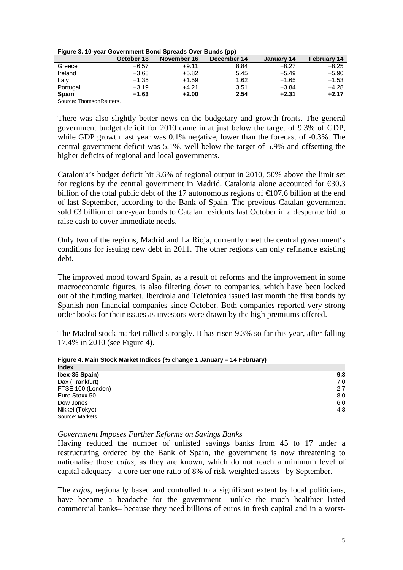|              |            |             | .           |            |                    |
|--------------|------------|-------------|-------------|------------|--------------------|
|              | October 18 | November 16 | December 14 | January 14 | <b>February 14</b> |
| Greece       | $+6.57$    | $+9.11$     | 8.84        | $+8.27$    | $+8.25$            |
| Ireland      | $+3.68$    | $+5.82$     | 5.45        | $+5.49$    | $+5.90$            |
| Italy        | $+1.35$    | $+1.59$     | 1.62        | $+1.65$    | $+1.53$            |
| Portugal     | $+3.19$    | $+4.21$     | 3.51        | $+3.84$    | $+4.28$            |
| <b>Spain</b> | $+1.63$    | $+2.00$     | 2.54        | $+2.31$    | $+2.17$            |
|              |            |             |             |            |                    |

Source: ThomsonReuters.

There was also slightly better news on the budgetary and growth fronts. The general government budget deficit for 2010 came in at just below the target of 9.3% of GDP, while GDP growth last year was  $0.1\%$  negative, lower than the forecast of -0.3%. The central government deficit was 5.1%, well below the target of 5.9% and offsetting the higher deficits of regional and local governments.

Catalonia's budget deficit hit 3.6% of regional output in 2010, 50% above the limit set for regions by the central government in Madrid. Catalonia alone accounted for  $\epsilon$ 30.3 billion of the total public debt of the 17 autonomous regions of  $\epsilon$  07.6 billion at the end of last September, according to the Bank of Spain. The previous Catalan government sold €3 billion of one-year bonds to Catalan residents last October in a desperate bid to raise cash to cover immediate needs.

Only two of the regions, Madrid and La Rioja, currently meet the central government's conditions for issuing new debt in 2011. The other regions can only refinance existing debt.

The improved mood toward Spain, as a result of reforms and the improvement in some macroeconomic figures, is also filtering down to companies, which have been locked out of the funding market. Iberdrola and Telefónica issued last month the first bonds by Spanish non-financial companies since October. Both companies reported very strong order books for their issues as investors were drawn by the high premiums offered.

The Madrid stock market rallied strongly. It has risen 9.3% so far this year, after falling 17.4% in 2010 (see Figure 4).

| <b>Index</b>      |     |
|-------------------|-----|
| Ibex-35 Spain)    | 9.3 |
| Dax (Frankfurt)   | 7.0 |
| FTSE 100 (London) | 2.7 |
| Euro Stoxx 50     | 8.0 |
| Dow Jones         | 6.0 |
| Nikkei (Tokyo)    | 4.8 |
| Source: Markets.  |     |

**Figure 4. Main Stock Market Indices (% change 1 January – 14 February)** 

#### *Government Imposes Further Reforms on Savings Banks*

Having reduced the number of unlisted savings banks from 45 to 17 under a restructuring ordered by the Bank of Spain, the government is now threatening to nationalise those *cajas*, as they are known, which do not reach a minimum level of capital adequacy –a core tier one ratio of 8% of risk-weighted assets– by September.

The *cajas,* regionally based and controlled to a significant extent by local politicians, have become a headache for the government –unlike the much healthier listed commercial banks– because they need billions of euros in fresh capital and in a worst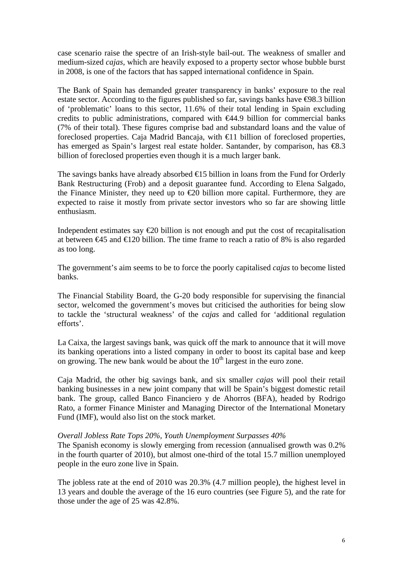case scenario raise the spectre of an Irish-style bail-out. The weakness of smaller and medium-sized *cajas,* which are heavily exposed to a property sector whose bubble burst in 2008, is one of the factors that has sapped international confidence in Spain.

The Bank of Spain has demanded greater transparency in banks' exposure to the real estate sector. According to the figures published so far, savings banks have  $\Theta$ 8.3 billion of 'problematic' loans to this sector, 11.6% of their total lending in Spain excluding credits to public administrations, compared with €44.9 billion for commercial banks (7% of their total). These figures comprise bad and substandard loans and the value of foreclosed properties. Caja Madrid Bancaja, with  $\epsilon$ 11 billion of foreclosed properties, has emerged as Spain's largest real estate holder. Santander, by comparison, has  $\epsilon$ 8.3 billion of foreclosed properties even though it is a much larger bank.

The savings banks have already absorbed  $\bigoplus$  5 billion in loans from the Fund for Orderly Bank Restructuring (Frob) and a deposit guarantee fund. According to Elena Salgado, the Finance Minister, they need up to  $\epsilon$  billion more capital. Furthermore, they are expected to raise it mostly from private sector investors who so far are showing little enthusiasm.

Independent estimates say  $\epsilon$ 20 billion is not enough and put the cost of recapitalisation at between  $\epsilon$ 45 and  $\epsilon$ 120 billion. The time frame to reach a ratio of 8% is also regarded as too long.

The government's aim seems to be to force the poorly capitalised *cajas* to become listed banks.

The Financial Stability Board, the G-20 body responsible for supervising the financial sector, welcomed the government's moves but criticised the authorities for being slow to tackle the 'structural weakness' of the *cajas* and called for 'additional regulation efforts'.

La Caixa, the largest savings bank, was quick off the mark to announce that it will move its banking operations into a listed company in order to boost its capital base and keep on growing. The new bank would be about the  $10<sup>th</sup>$  largest in the euro zone.

Caja Madrid, the other big savings bank, and six smaller *cajas* will pool their retail banking businesses in a new joint company that will be Spain's biggest domestic retail bank. The group, called Banco Financiero y de Ahorros (BFA), headed by Rodrigo Rato, a former Finance Minister and Managing Director of the International Monetary Fund (IMF), would also list on the stock market.

### *Overall Jobless Rate Tops 20%, Youth Unemployment Surpasses 40%*

The Spanish economy is slowly emerging from recession (annualised growth was 0.2% in the fourth quarter of 2010), but almost one-third of the total 15.7 million unemployed people in the euro zone live in Spain.

The jobless rate at the end of 2010 was 20.3% (4.7 million people), the highest level in 13 years and double the average of the 16 euro countries (see Figure 5), and the rate for those under the age of 25 was 42.8%.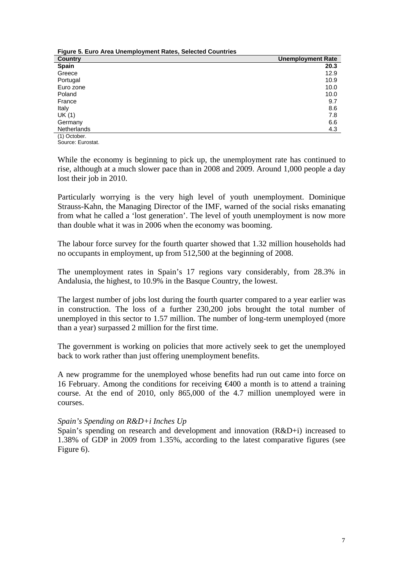| Figure 5. Euro Area Unemployment Rates, Selected Countries |                          |  |  |  |
|------------------------------------------------------------|--------------------------|--|--|--|
| <b>Country</b>                                             | <b>Unemployment Rate</b> |  |  |  |
| <b>Spain</b>                                               | 20.3                     |  |  |  |
| Greece                                                     | 12.9                     |  |  |  |
| Portugal                                                   | 10.9                     |  |  |  |
| Euro zone                                                  | 10.0                     |  |  |  |
| Poland                                                     | 10.0                     |  |  |  |
| France                                                     | 9.7                      |  |  |  |
| Italy                                                      | 8.6                      |  |  |  |
| UK(1)                                                      | 7.8                      |  |  |  |
| Germany                                                    | 6.6                      |  |  |  |
| <b>Netherlands</b>                                         | 4.3                      |  |  |  |
| (1) October.                                               |                          |  |  |  |

Source: Eurostat.

While the economy is beginning to pick up, the unemployment rate has continued to rise, although at a much slower pace than in 2008 and 2009. Around 1,000 people a day lost their job in 2010.

Particularly worrying is the very high level of youth unemployment. Dominique Strauss-Kahn, the Managing Director of the IMF, warned of the social risks emanating from what he called a 'lost generation'. The level of youth unemployment is now more than double what it was in 2006 when the economy was booming.

The labour force survey for the fourth quarter showed that 1.32 million households had no occupants in employment, up from 512,500 at the beginning of 2008.

The unemployment rates in Spain's 17 regions vary considerably, from 28.3% in Andalusia, the highest, to 10.9% in the Basque Country, the lowest.

The largest number of jobs lost during the fourth quarter compared to a year earlier was in construction. The loss of a further 230,200 jobs brought the total number of unemployed in this sector to 1.57 million. The number of long-term unemployed (more than a year) surpassed 2 million for the first time.

The government is working on policies that more actively seek to get the unemployed back to work rather than just offering unemployment benefits.

A new programme for the unemployed whose benefits had run out came into force on 16 February. Among the conditions for receiving €400 a month is to attend a training course. At the end of 2010, only 865,000 of the 4.7 million unemployed were in courses.

### *Spain's Spending on R&D+i Inches Up*

Spain's spending on research and development and innovation (R&D+i) increased to 1.38% of GDP in 2009 from 1.35%, according to the latest comparative figures (see Figure 6).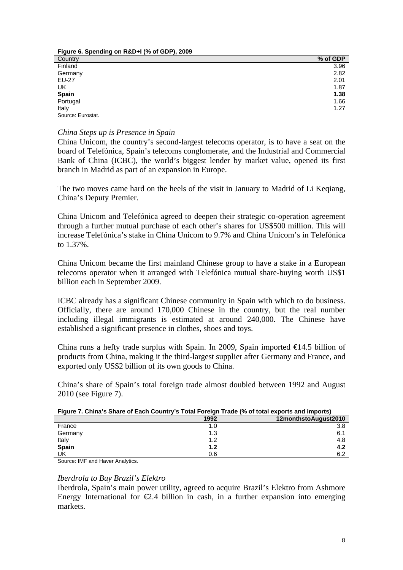| $\frac{1}{2}$ iguio of openantg on Rad if (70 or 001 ), 2000 |          |
|--------------------------------------------------------------|----------|
| Country                                                      | % of GDP |
| Finland                                                      | 3.96     |
| Germany                                                      | 2.82     |
| <b>EU-27</b>                                                 | 2.01     |
| UK                                                           | 1.87     |
| Spain                                                        | 1.38     |
| Portugal                                                     | 1.66     |
| Italy                                                        | 1.27     |
| $\sim$ $\sim$ $\sim$ $\sim$                                  |          |

Source: Eurostat.

### *China Steps up is Presence in Spain*

**Figure 6. Spending on R&D+I (% of GDP), 2009** 

China Unicom, the country's second-largest telecoms operator, is to have a seat on the board of Telefónica, Spain's telecoms conglomerate, and the Industrial and Commercial Bank of China (ICBC), the world's biggest lender by market value, opened its first branch in Madrid as part of an expansion in Europe.

The two moves came hard on the heels of the visit in January to Madrid of Li Keqiang, China's Deputy Premier.

China Unicom and Telefónica agreed to deepen their strategic co-operation agreement through a further mutual purchase of each other's shares for US\$500 million. This will increase Telefónica's stake in China Unicom to 9.7% and China Unicom's in Telefónica to 1.37%.

China Unicom became the first mainland Chinese group to have a stake in a European telecoms operator when it arranged with Telefónica mutual share-buying worth US\$1 billion each in September 2009.

ICBC already has a significant Chinese community in Spain with which to do business. Officially, there are around 170,000 Chinese in the country, but the real number including illegal immigrants is estimated at around 240,000. The Chinese have established a significant presence in clothes, shoes and toys.

China runs a hefty trade surplus with Spain. In 2009, Spain imported  $\in$  4.5 billion of products from China, making it the third-largest supplier after Germany and France, and exported only US\$2 billion of its own goods to China.

China's share of Spain's total foreign trade almost doubled between 1992 and August 2010 (see Figure 7).

| T INUI 6 TURI DI MINUI DI LUMI DUNII I DI SI DI TIUNGI TIUNGI TIU DI LUMI CADOI LO UI II IIDOI LO I |      |                      |
|-----------------------------------------------------------------------------------------------------|------|----------------------|
|                                                                                                     | 1992 | 12monthstoAugust2010 |
| France                                                                                              | 1.0  | 3.8                  |
| Germany                                                                                             | 1.3  | 6.1                  |
| Italy                                                                                               | ィっ   | 4.8                  |
| <b>Spain</b>                                                                                        | 1.2  |                      |

### **Figure 7. China's Share of Each Country's Total Foreign Trade (% of total exports and imports)**

UK  $0.6$  6.2 Source: IMF and Haver Analytics.

### *Iberdrola to Buy Brazil's Elektro*

Iberdrola, Spain's main power utility, agreed to acquire Brazil's Elektro from Ashmore Energy International for  $\epsilon 2.4$  billion in cash, in a further expansion into emerging markets.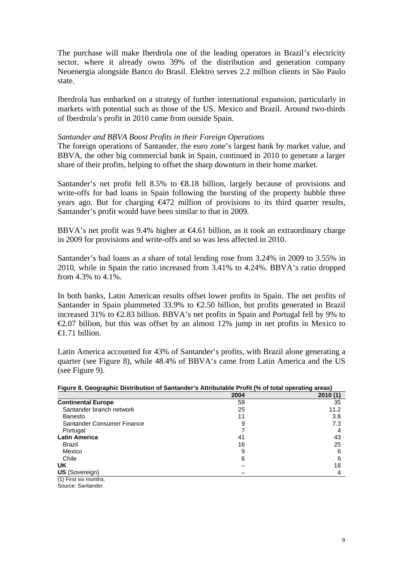The purchase will make Iberdrola one of the leading operators in Brazil's electricity sector, where it already owns 39% of the distribution and generation company Neoenergia alongside Banco do Brasil. Elektro serves 2.2 million clients in São Paulo state.

Iberdrola has embarked on a strategy of further international expansion, particularly in markets with potential such as those of the US, Mexico and Brazil. Around two-thirds of Iberdrola's profit in 2010 came from outside Spain.

### *Santander and BBVA Boost Profits in their Foreign Operations*

The foreign operations of Santander, the euro zone's largest bank by market value, and BBVA, the other big commercial bank in Spain, continued in 2010 to generate a larger share of their profits, helping to offset the sharp downturn in their home market.

Santander's net profit fell 8.5% to  $\bigoplus$  18 billion, largely because of provisions and write-offs for bad loans in Spain following the bursting of the property bubble three years ago. But for charging €472 million of provisions to its third quarter results, Santander's profit would have been similar to that in 2009.

BBVA's net profit was 9.4% higher at  $64.61$  billion, as it took an extraordinary charge in 2009 for provisions and write-offs and so was less affected in 2010.

Santander's bad loans as a share of total lending rose from 3.24% in 2009 to 3.55% in 2010, while in Spain the ratio increased from 3.41% to 4.24%. BBVA's ratio dropped from 4.3% to 4.1%.

In both banks, Latin American results offset lower profits in Spain. The net profits of Santander in Spain plummeted 33.9% to  $\epsilon$ 2.50 billion, but profits generated in Brazil increased 31% to  $\epsilon$ 2.83 billion. BBVA's net profits in Spain and Portugal fell by 9% to  $\epsilon$ 2.07 billion, but this was offset by an almost 12% jump in net profits in Mexico to  $f(1)$  hillion

Latin America accounted for 43% of Santander's profits, with Brazil alone generating a quarter (see Figure 8), while 48.4% of BBVA's came from Latin America and the US (see Figure 9).

| Figure 8. Geographic Distribution of Santanger's Attributable Profit (% of total operating areas) |      |         |  |  |
|---------------------------------------------------------------------------------------------------|------|---------|--|--|
|                                                                                                   | 2004 | 2010(1) |  |  |
| <b>Continental Europe</b>                                                                         | 59   | 35      |  |  |
| Santander branch network                                                                          | 25   | 11.2    |  |  |
| Banesto                                                                                           | 11   | 3.8     |  |  |
| Santander Consumer Finance                                                                        | 9    | 7.3     |  |  |
| Portugal                                                                                          |      |         |  |  |
| <b>Latin America</b>                                                                              | 41   | 43      |  |  |
| Brazil                                                                                            | 16   | 25      |  |  |
| Mexico                                                                                            | 9    | 6       |  |  |
| Chile                                                                                             | 6    | 6       |  |  |
| UK.                                                                                               |      | 18      |  |  |
| <b>US</b> (Sovereign)                                                                             |      | 4       |  |  |
| (1) First six months.                                                                             |      |         |  |  |
| Source: Santander.                                                                                |      |         |  |  |

**Figure 8. Geographic Distribution of Santander's Attributable Profit (% of total operating areas)**